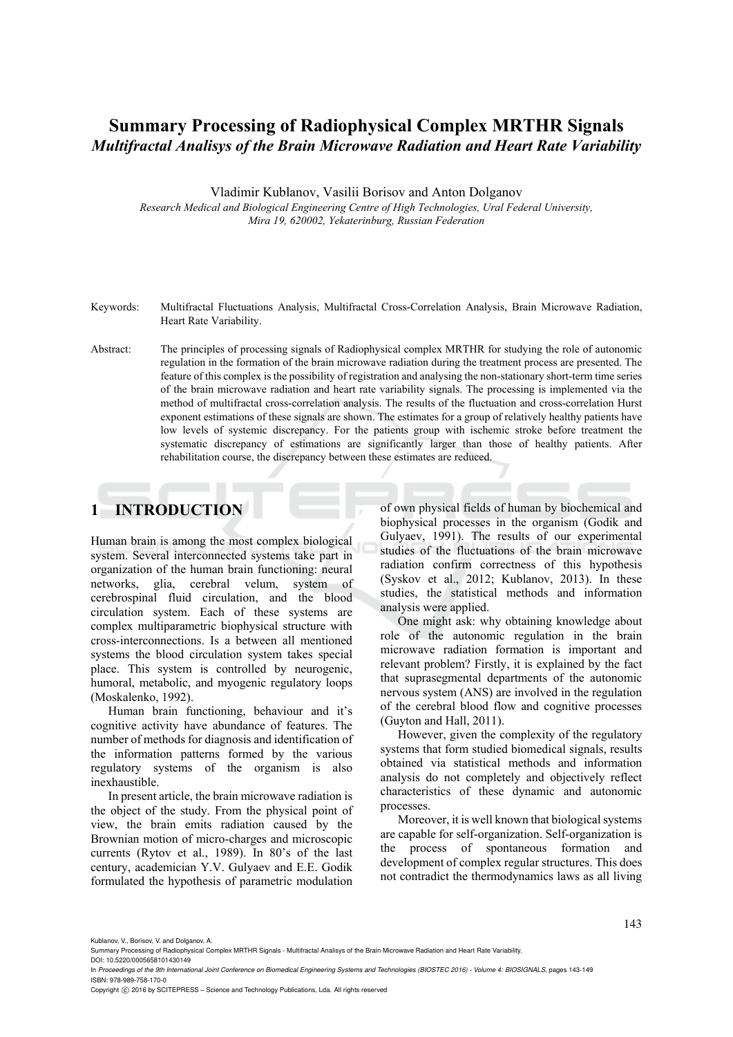# **Summary Processing of Radiophysical Complex MRTHR Signals**  *Multifractal Analisys of the Brain Microwave Radiation and Heart Rate Variability*

Vladimir Kublanov, Vasilii Borisov and Anton Dolganov

*Research Medical and Biological Engineering Centre of High Technologies, Ural Federal University, Mira 19, 620002, Yekaterinburg, Russian Federation* 

- Keywords: Multifractal Fluctuations Analysis, Multifractal Cross-Correlation Analysis, Brain Microwave Radiation, Heart Rate Variability.
- Abstract: The principles of processing signals of Radiophysical complex MRTHR for studying the role of autonomic regulation in the formation of the brain microwave radiation during the treatment process are presented. The feature of this complex is the possibility of registration and analysing the non-stationary short-term time series of the brain microwave radiation and heart rate variability signals. The processing is implemented via the method of multifractal cross-correlation analysis. The results of the fluctuation and cross-correlation Hurst exponent estimations of these signals are shown. The estimates for a group of relatively healthy patients have low levels of systemic discrepancy. For the patients group with ischemic stroke before treatment the systematic discrepancy of estimations are significantly larger than those of healthy patients. After rehabilitation course, the discrepancy between these estimates are reduced.

# **1 INTRODUCTION**

Human brain is among the most complex biological system. Several interconnected systems take part in organization of the human brain functioning: neural networks, glia, cerebral velum, system of cerebrospinal fluid circulation, and the blood circulation system. Each of these systems are complex multiparametric biophysical structure with cross-interconnections. Is a between all mentioned systems the blood circulation system takes special place. This system is controlled by neurogenic, humoral, metabolic, and myogenic regulatory loops (Moskalenko, 1992).

Human brain functioning, behaviour and it's cognitive activity have abundance of features. The number of methods for diagnosis and identification of the information patterns formed by the various regulatory systems of the organism is also inexhaustible.

In present article, the brain microwave radiation is the object of the study. From the physical point of view, the brain emits radiation caused by the Brownian motion of micro-charges and microscopic currents (Rytov et al., 1989). In 80's of the last century, academician Y.V. Gulyaev and E.E. Godik formulated the hypothesis of parametric modulation of own physical fields of human by biochemical and biophysical processes in the organism (Godik and Gulyaev, 1991). The results of our experimental studies of the fluctuations of the brain microwave radiation confirm correctness of this hypothesis (Syskov et al., 2012; Kublanov, 2013). In these studies, the statistical methods and information analysis were applied.

One might ask: why obtaining knowledge about role of the autonomic regulation in the brain microwave radiation formation is important and relevant problem? Firstly, it is explained by the fact that suprasegmental departments of the autonomic nervous system (ANS) are involved in the regulation of the cerebral blood flow and cognitive processes (Guyton and Hall, 2011).

However, given the complexity of the regulatory systems that form studied biomedical signals, results obtained via statistical methods and information analysis do not completely and objectively reflect characteristics of these dynamic and autonomic processes.

Moreover, it is well known that biological systems are capable for self-organization. Self-organization is the process of spontaneous formation and development of complex regular structures. This does not contradict the thermodynamics laws as all living

Copyright © 2016 by SCITEPRESS - Science and Technology Publications, Lda. All rights reserved

Kublanov, V., Borisov, V. and Dolganov, A.

Summary Processing of Radiophysical Complex MRTHR Signals - Multifractal Analisys of the Brain Microwave Radiation and Heart Rate Variability.

DOI: 10.5220/0005658101430149 In *Proceedings of the 9th International Joint Conference on Biomedical Engineering Systems and Technologies (BIOSTEC 2016) - Volume 4: BIOSIGNALS*, pages 143-149 ISBN: 978-989-758-170-0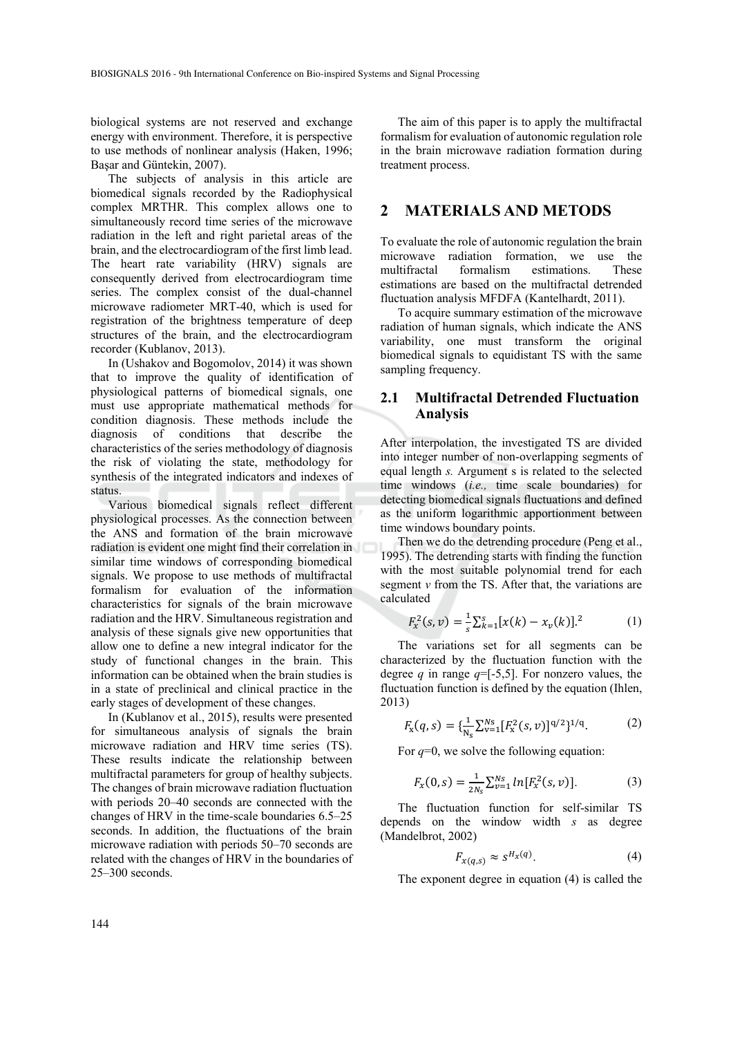biological systems are not reserved and exchange energy with environment. Therefore, it is perspective to use methods of nonlinear analysis (Haken, 1996; Başar and Güntekin, 2007).

The subjects of analysis in this article are biomedical signals recorded by the Radiophysical complex MRTHR. This complex allows one to simultaneously record time series of the microwave radiation in the left and right parietal areas of the brain, and the electrocardiogram of the first limb lead. The heart rate variability (HRV) signals are consequently derived from electrocardiogram time series. The complex consist of the dual-channel microwave radiometer MRT-40, which is used for registration of the brightness temperature of deep structures of the brain, and the electrocardiogram recorder (Kublanov, 2013).

In (Ushakov and Bogomolov, 2014) it was shown that to improve the quality of identification of physiological patterns of biomedical signals, one must use appropriate mathematical methods for condition diagnosis. These methods include the diagnosis of conditions that describe the characteristics of the series methodology of diagnosis the risk of violating the state, methodology for synthesis of the integrated indicators and indexes of status.

Various biomedical signals reflect different physiological processes. As the connection between the ANS and formation of the brain microwave radiation is evident one might find their correlation in similar time windows of corresponding biomedical signals. We propose to use methods of multifractal formalism for evaluation of the information characteristics for signals of the brain microwave radiation and the HRV. Simultaneous registration and analysis of these signals give new opportunities that allow one to define a new integral indicator for the study of functional changes in the brain. This information can be obtained when the brain studies is in a state of preclinical and clinical practice in the early stages of development of these changes.

In (Kublanov et al., 2015), results were presented for simultaneous analysis of signals the brain microwave radiation and HRV time series (TS). These results indicate the relationship between multifractal parameters for group of healthy subjects. The changes of brain microwave radiation fluctuation with periods 20–40 seconds are connected with the changes of HRV in the time-scale boundaries 6.5–25 seconds. In addition, the fluctuations of the brain microwave radiation with periods 50–70 seconds are related with the changes of HRV in the boundaries of 25–300 seconds.

The aim of this paper is to apply the multifractal formalism for evaluation of autonomic regulation role in the brain microwave radiation formation during treatment process.

## **2 MATERIALS AND METODS**

To evaluate the role of autonomic regulation the brain microwave radiation formation, we use the multifractal formalism estimations. These estimations are based on the multifractal detrended fluctuation analysis MFDFA (Kantelhardt, 2011).

To acquire summary estimation of the microwave radiation of human signals, which indicate the ANS variability, one must transform the original biomedical signals to equidistant TS with the same sampling frequency.

### **2.1 Multifractal Detrended Fluctuation Analysis**

After interpolation, the investigated TS are divided into integer number of non-overlapping segments of equal length *s.* Argument s is related to the selected time windows (*i.e.,* time scale boundaries) for detecting biomedical signals fluctuations and defined as the uniform logarithmic apportionment between time windows boundary points.

Then we do the detrending procedure (Peng et al., 1995). The detrending starts with finding the function with the most suitable polynomial trend for each segment  $\nu$  from the TS. After that, the variations are calculated

$$
F_x^2(s, v) = \frac{1}{s} \sum_{k=1}^s [x(k) - x_v(k)]^2
$$
 (1)

The variations set for all segments can be characterized by the fluctuation function with the degree *q* in range  $q = [-5, 5]$ . For nonzero values, the fluctuation function is defined by the equation (Ihlen, 2013)

$$
F_{\rm x}(q,s) = \{\frac{1}{N_{\rm s}} \sum_{v=1}^{N_{\rm s}} [F_{\rm x}^2(s,v)]^{q/2}\}^{1/q}.\tag{2}
$$

For *q*=0, we solve the following equation:

$$
F_x(0,s) = \frac{1}{2N_s} \sum_{\nu=1}^{N_s} ln[F_x^2(s,\nu)].
$$
 (3)

The fluctuation function for self-similar TS depends on the window width *s* as degree (Mandelbrot, 2002)

$$
F_{x(q,s)} \approx s^{H_x(q)}.\tag{4}
$$

The exponent degree in equation (4) is called the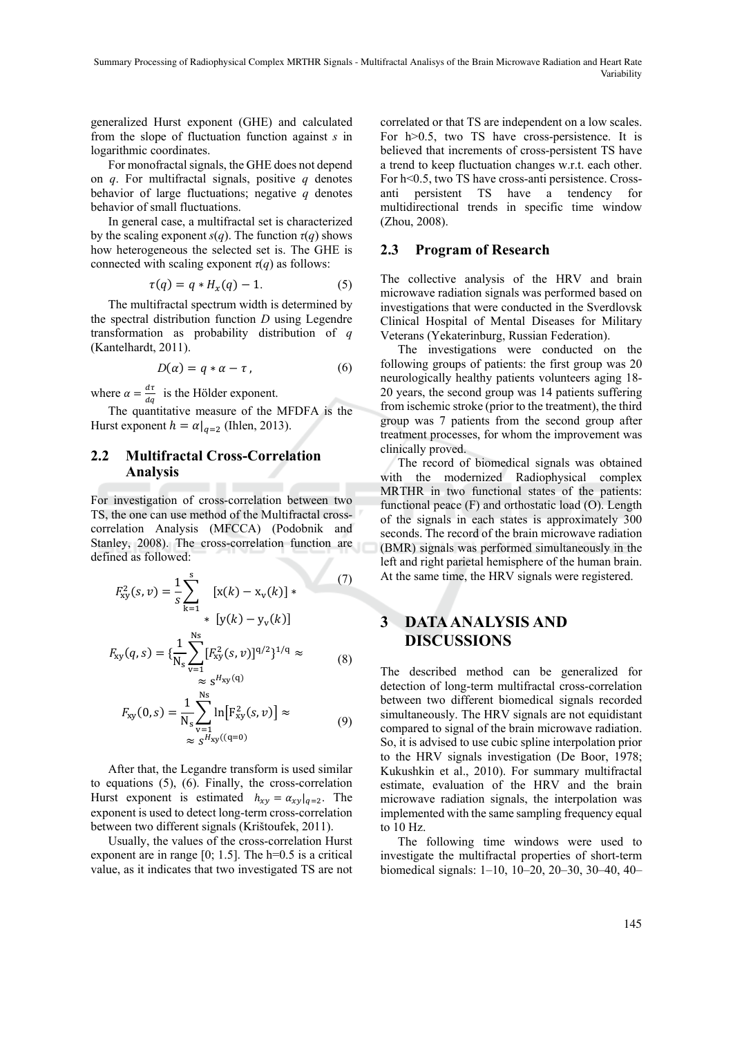generalized Hurst exponent (GHE) and calculated from the slope of fluctuation function against *s* in logarithmic coordinates.

For monofractal signals, the GHE does not depend on *q*. For multifractal signals, positive *q* denotes behavior of large fluctuations; negative *q* denotes behavior of small fluctuations.

In general case, a multifractal set is characterized by the scaling exponent *s*(*q*). The function  $\tau$ (*q*) shows how heterogeneous the selected set is. The GHE is connected with scaling exponent  $\tau(q)$  as follows:

$$
\tau(q) = q * H_x(q) - 1. \tag{5}
$$

The multifractal spectrum width is determined by the spectral distribution function *D* using Legendre transformation as probability distribution of *q* (Kantelhardt, 2011).

$$
D(\alpha) = q * \alpha - \tau, \qquad (6)
$$

where  $\alpha = \frac{d\tau}{dq}$  is the Hölder exponent.

The quantitative measure of the MFDFA is the Hurst exponent  $h = \alpha|_{a=2}$  (Ihlen, 2013).

## **2.2 Multifractal Cross-Correlation Analysis**

For investigation of cross-correlation between two TS, the one can use method of the Multifractal crosscorrelation Analysis (MFCCA) (Podobnik and Stanley, 2008). The cross-correlation function are defined as followed:

$$
F_{xy}^{2}(s,v) = \frac{1}{s} \sum_{k=1}^{s} [x(k) - x_{v}(k)] * (7)
$$
  

$$
F_{xy}(q,s) = {\frac{1}{N_{s}} \sum_{v=1}^{N_{s}} [F_{xy}^{2}(s,v)]^{q/2}}^{1/q} \approx (8)
$$

$$
F_{xy}(0,s) = \frac{1}{N_s} \sum_{v=1}^{N_s} \ln[F_{xy}^2(s,v)] \approx
$$
  

$$
\approx s^{H_{xy}((q=0))}
$$
 (9)

After that, the Legandre transform is used similar to equations (5), (6). Finally, the cross-correlation Hurst exponent is estimated  $h_{xy} = \alpha_{xy}|_{q=2}$ . The exponent is used to detect long-term cross-correlation between two different signals (Krištoufek, 2011).

Usually, the values of the cross-correlation Hurst exponent are in range [0; 1.5]. The h=0.5 is a critical value, as it indicates that two investigated TS are not

correlated or that TS are independent on a low scales. For h>0.5, two TS have cross-persistence. It is believed that increments of cross-persistent TS have a trend to keep fluctuation changes w.r.t. each other. For h<0.5, two TS have cross-anti persistence. Crossanti persistent TS have a tendency for multidirectional trends in specific time window (Zhou, 2008).

#### **2.3 Program of Research**

The collective analysis of the HRV and brain microwave radiation signals was performed based on investigations that were conducted in the Sverdlovsk Clinical Hospital of Mental Diseases for Military Veterans (Yekaterinburg, Russian Federation).

The investigations were conducted on the following groups of patients: the first group was 20 neurologically healthy patients volunteers aging 18- 20 years, the second group was 14 patients suffering from ischemic stroke (prior to the treatment), the third group was 7 patients from the second group after treatment processes, for whom the improvement was clinically proved.

The record of biomedical signals was obtained with the modernized Radiophysical complex MRTHR in two functional states of the patients: functional peace (F) and orthostatic load (O). Length of the signals in each states is approximately 300 seconds. The record of the brain microwave radiation (BMR) signals was performed simultaneously in the left and right parietal hemisphere of the human brain. At the same time, the HRV signals were registered.

# **3 DATA ANALYSIS AND DISCUSSIONS**

The described method can be generalized for detection of long-term multifractal cross-correlation between two different biomedical signals recorded simultaneously. The HRV signals are not equidistant compared to signal of the brain microwave radiation. So, it is advised to use cubic spline interpolation prior to the HRV signals investigation (De Boor, 1978; Kukushkin et al., 2010). For summary multifractal estimate, evaluation of the HRV and the brain microwave radiation signals, the interpolation was implemented with the same sampling frequency equal to 10 Hz.

The following time windows were used to investigate the multifractal properties of short-term biomedical signals: 1–10, 10–20, 20–30, 30–40, 40–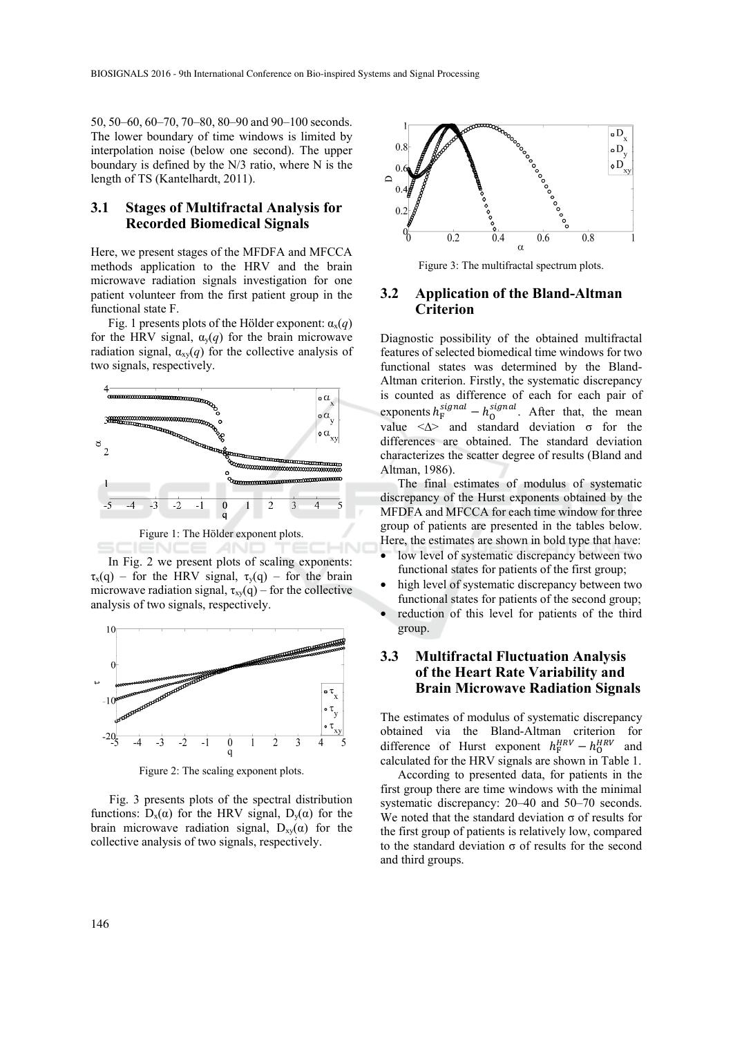50, 50–60, 60–70, 70–80, 80–90 and 90–100 seconds. The lower boundary of time windows is limited by interpolation noise (below one second). The upper boundary is defined by the N/3 ratio, where N is the length of TS (Kantelhardt, 2011).

#### **3.1 Stages of Multifractal Analysis for Recorded Biomedical Signals**

Here, we present stages of the MFDFA and MFCCA methods application to the HRV and the brain microwave radiation signals investigation for one patient volunteer from the first patient group in the functional state F.

Fig. 1 presents plots of the Hölder exponent:  $\alpha_x(q)$ for the HRV signal,  $\alpha_{\rm v}(q)$  for the brain microwave radiation signal,  $\alpha_{xy}(q)$  for the collective analysis of two signals, respectively.



Figure 1: The Hölder exponent plots.

IENCE **ANI** In Fig. 2 we present plots of scaling exponents:  $\tau_x(q)$  – for the HRV signal,  $\tau_y(q)$  – for the brain microwave radiation signal,  $\tau_{xy}(q)$  – for the collective analysis of two signals, respectively.



Figure 2: The scaling exponent plots.

Fig. 3 presents plots of the spectral distribution functions:  $D_x(\alpha)$  for the HRV signal,  $D_y(\alpha)$  for the brain microwave radiation signal,  $D_{xy}(α)$  for the collective analysis of two signals, respectively.



Figure 3: The multifractal spectrum plots.

#### **3.2 Application of the Bland-Altman Criterion**

Diagnostic possibility of the obtained multifractal features of selected biomedical time windows for two functional states was determined by the Bland-Altman criterion. Firstly, the systematic discrepancy is counted as difference of each for each pair of exponents  $h_F^{signal} - h_0^{signal}$ . After that, the mean value <∆> and standard deviation σ for the differences are obtained. The standard deviation characterizes the scatter degree of results (Bland and Altman, 1986).

The final estimates of modulus of systematic discrepancy of the Hurst exponents obtained by the MFDFA and MFCCA for each time window for three group of patients are presented in the tables below. Here, the estimates are shown in bold type that have:

- low level of systematic discrepancy between two functional states for patients of the first group;
- high level of systematic discrepancy between two functional states for patients of the second group;
- reduction of this level for patients of the third group.

#### **3.3 Multifractal Fluctuation Analysis of the Heart Rate Variability and Brain Microwave Radiation Signals**

The estimates of modulus of systematic discrepancy obtained via the Bland-Altman criterion for difference of Hurst exponent  $h_F^{HRV} - h_0^{HRV}$  and calculated for the HRV signals are shown in Table 1.

According to presented data, for patients in the first group there are time windows with the minimal systematic discrepancy: 20–40 and 50–70 seconds. We noted that the standard deviation  $\sigma$  of results for the first group of patients is relatively low, compared to the standard deviation  $\sigma$  of results for the second and third groups.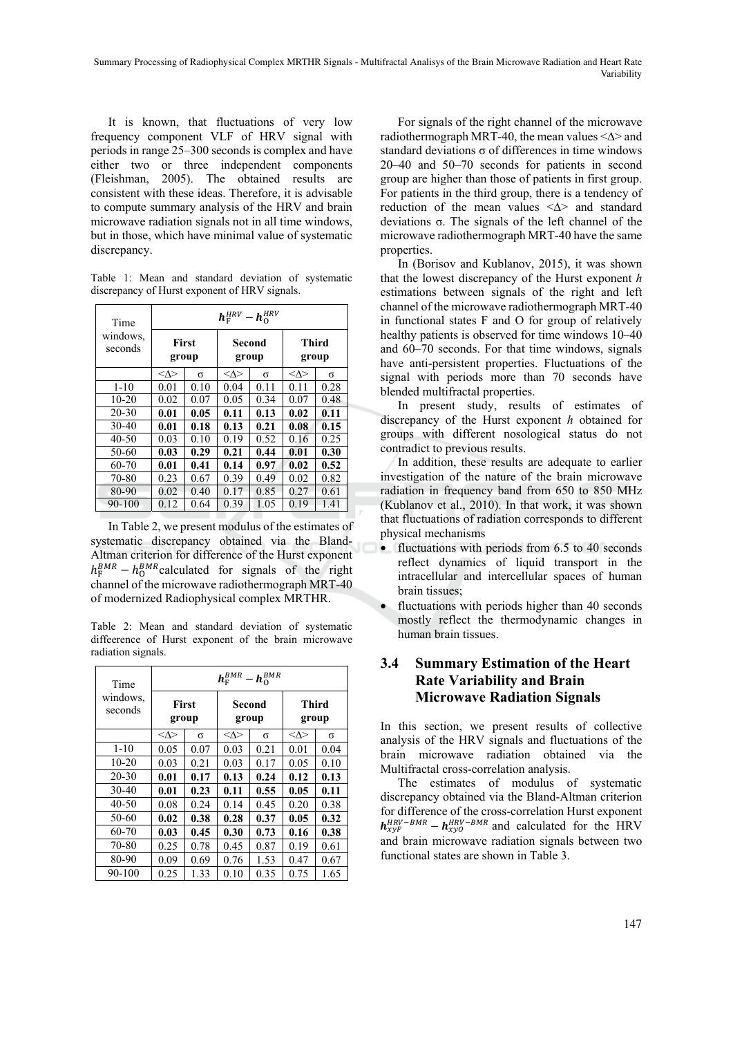Summary Processing of Radiophysical Complex MRTHR Signals - Multifractal Analisys of the Brain Microwave Radiation and Heart Rate Variability

It is known, that fluctuations of very low frequency component VLF of HRV signal with periods in range 25–300 seconds is complex and have either two or three independent components (Fleishman, 2005). The obtained results are consistent with these ideas. Therefore, it is advisable to compute summary analysis of the HRV and brain microwave radiation signals not in all time windows, but in those, which have minimal value of systematic discrepancy.

Table 1: Mean and standard deviation of systematic discrepancy of Hurst exponent of HRV signals.

| Time                | $h_{\rm F}^{\rm HRV} - h_{\rm O}^{\rm HRV}$ |      |                    |      |                       |      |
|---------------------|---------------------------------------------|------|--------------------|------|-----------------------|------|
| windows.<br>seconds | <b>First</b><br>group                       |      | Second<br>group    |      | <b>Third</b><br>group |      |
|                     | $<\!\!\Delta\!\!>$                          | σ    | $<\!\!\Delta\!\!>$ | σ    | $<\!\!\Delta\!\!>$    | σ    |
| $1 - 10$            | 0.01                                        | 0.10 | 0.04               | 0.11 | 0.11                  | 0.28 |
| $10 - 20$           | 0.02                                        | 0.07 | 0.05               | 0.34 | 0.07                  | 0.48 |
| $20 - 30$           | 0.01                                        | 0.05 | 0.11               | 0.13 | 0.02                  | 0.11 |
| $30-40$             | 0.01                                        | 0.18 | 0.13               | 0.21 | 0.08                  | 0.15 |
| $40 - 50$           | 0.03                                        | 0.10 | 0.19               | 0.52 | 0.16                  | 0.25 |
| 50-60               | 0.03                                        | 0.29 | 0.21               | 0.44 | 0.01                  | 0.30 |
| $60 - 70$           | 0.01                                        | 0.41 | 0.14               | 0.97 | 0.02                  | 0.52 |
| 70-80               | 0.23                                        | 0.67 | 0.39               | 0.49 | 0.02                  | 0.82 |
| 80-90               | 0.02                                        | 0.40 | 0.17               | 0.85 | 0.27                  | 0.61 |
| 90-100              | 0.12                                        | 0.64 | 0.39               | 1.05 | 0.19                  | 1.41 |

In Table 2, we present modulus of the estimates of systematic discrepancy obtained via the Bland-Altman criterion for difference of the Hurst exponent  $h_{\rm F}^{BMR} - h_0^{BMR}$  calculated for signals of the right channel of the microwave radiothermograph MRT-40 of modernized Radiophysical complex MRTHR.

Table 2: Mean and standard deviation of systematic diffeerence of Hurst exponent of the brain microwave radiation signals.

| Time<br>windows.<br>seconds | $h_{\rm F}^{BMR}-h_{\rm O}^{BMR}$ |      |                    |      |                       |      |
|-----------------------------|-----------------------------------|------|--------------------|------|-----------------------|------|
|                             | <b>First</b><br>group             |      | Second<br>group    |      | <b>Third</b><br>group |      |
|                             | $<\!\!\Delta\!\!>$                | σ    | $<\!\!\Delta\!\!>$ | σ    | <Δ>                   | σ    |
| $1 - 10$                    | 0.05                              | 0.07 | 0.03               | 0.21 | 0.01                  | 0.04 |
| $10 - 20$                   | 0.03                              | 0.21 | 0.03               | 0.17 | 0.05                  | 0.10 |
| $20 - 30$                   | 0.01                              | 0.17 | 0.13               | 0.24 | 0.12                  | 0.13 |
| $30-40$                     | 0.01                              | 0.23 | 0.11               | 0.55 | 0.05                  | 0.11 |
| $40 - 50$                   | 0.08                              | 0.24 | 0.14               | 0.45 | 0.20                  | 0.38 |
| 50-60                       | 0.02                              | 0.38 | 0.28               | 0.37 | 0.05                  | 0.32 |
| 60-70                       | 0.03                              | 0.45 | 0.30               | 0.73 | 0.16                  | 0.38 |
| 70-80                       | 0.25                              | 0.78 | 0.45               | 0.87 | 0.19                  | 0.61 |
| 80-90                       | 0.09                              | 0.69 | 0.76               | 1.53 | 0.47                  | 0.67 |
| 90-100                      | 0.25                              | 1.33 | 0.10               | 0.35 | 0.75                  | 1.65 |

For signals of the right channel of the microwave radiothermograph MRT-40, the mean values <∆> and standard deviations  $\sigma$  of differences in time windows 20–40 and 50–70 seconds for patients in second group are higher than those of patients in first group. For patients in the third group, there is a tendency of reduction of the mean values <∆> and standard deviations σ. The signals of the left channel of the microwave radiothermograph MRT-40 have the same properties.

In (Borisov and Kublanov, 2015), it was shown that the lowest discrepancy of the Hurst exponent *h*  estimations between signals of the right and left channel of the microwave radiothermograph MRT-40 in functional states F and O for group of relatively healthy patients is observed for time windows 10–40 and 60–70 seconds. For that time windows, signals have anti-persistent properties. Fluctuations of the signal with periods more than 70 seconds have blended multifractal properties.

In present study, results of estimates of discrepancy of the Hurst exponent *h* obtained for groups with different nosological status do not contradict to previous results.

In addition, these results are adequate to earlier investigation of the nature of the brain microwave radiation in frequency band from 650 to 850 MHz (Kublanov et al., 2010). In that work, it was shown that fluctuations of radiation corresponds to different physical mechanisms

- fluctuations with periods from 6.5 to 40 seconds reflect dynamics of liquid transport in the intracellular and intercellular spaces of human brain tissues;
- fluctuations with periods higher than 40 seconds mostly reflect the thermodynamic changes in human brain tissues.

## **3.4 Summary Estimation of the Heart Rate Variability and Brain Microwave Radiation Signals**

In this section, we present results of collective analysis of the HRV signals and fluctuations of the brain microwave radiation obtained via the Multifractal cross-correlation analysis.

The estimates of modulus of systematic discrepancy obtained via the Bland-Altman criterion for difference of the cross-correlation Hurst exponent  $h_{xyF}^{HRV-BMR} - h_{xyO}^{HRV-BMR}$  and calculated for the HRV and brain microwave radiation signals between two functional states are shown in Table 3.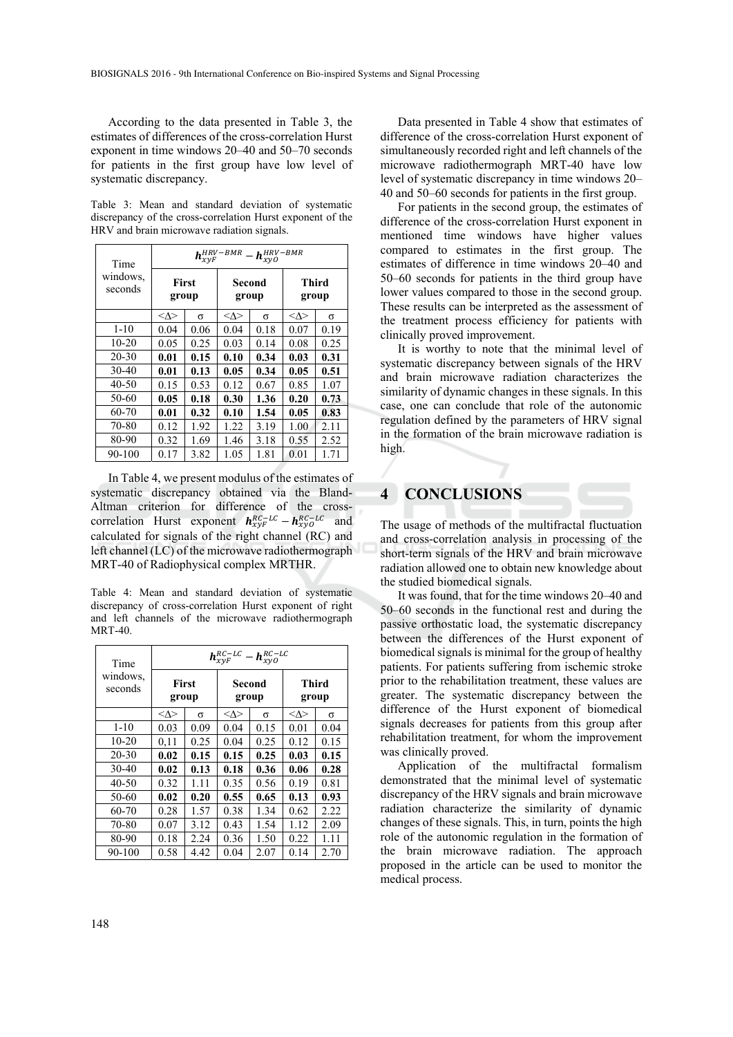According to the data presented in Table 3, the estimates of differences of the cross-correlation Hurst exponent in time windows 20–40 and 50–70 seconds for patients in the first group have low level of systematic discrepancy.

Table 3: Mean and standard deviation of systematic discrepancy of the cross-correlation Hurst exponent of the HRV and brain microwave radiation signals.

| Time<br>windows.<br>seconds | $h_{xyF}^{HRV-BMR}$<br>$h_{\text{xyO}}^{\text{HRV-BMR}}$ |      |                    |      |                    |      |  |
|-----------------------------|----------------------------------------------------------|------|--------------------|------|--------------------|------|--|
|                             | First<br>group                                           |      | Second<br>group    |      | Third<br>group     |      |  |
|                             | $<\!\!\Delta\!\!>$                                       | σ    | $<\!\!\Delta\!\!>$ | σ    | $<\!\!\Delta\!\!>$ | σ    |  |
| $1 - 10$                    | 0.04                                                     | 0.06 | 0.04               | 0.18 | 0.07               | 0.19 |  |
| $10-20$                     | 0.05                                                     | 0.25 | 0.03               | 0.14 | 0.08               | 0.25 |  |
| $20 - 30$                   | 0.01                                                     | 0.15 | 0.10               | 0.34 | 0.03               | 0.31 |  |
| $30-40$                     | 0.01                                                     | 0.13 | 0.05               | 0.34 | 0.05               | 0.51 |  |
| 40-50                       | 0.15                                                     | 0.53 | 0.12               | 0.67 | 0.85               | 1.07 |  |
| 50-60                       | 0.05                                                     | 0.18 | 0.30               | 1.36 | 0.20               | 0.73 |  |
| 60-70                       | 0.01                                                     | 0.32 | 0.10               | 1.54 | 0.05               | 0.83 |  |
| 70-80                       | 0.12                                                     | 1.92 | 1.22               | 3.19 | 1.00               | 2.11 |  |
| 80-90                       | 0.32                                                     | 1.69 | 1.46               | 3.18 | 0.55               | 2.52 |  |
| 90-100                      | 0.17                                                     | 3.82 | 1.05               | 1.81 | 0.01               | 1.71 |  |

In Table 4, we present modulus of the estimates of systematic discrepancy obtained via the Bland-Altman criterion for difference of the crosscorrelation Hurst exponent  $h_{xyF}^{RC-LC} - h_{xyO}^{RC-LC}$  and calculated for signals of the right channel (RC) and left channel (LC) of the microwave radiothermograph MRT-40 of Radiophysical complex MRTHR.

Table 4: Mean and standard deviation of systematic discrepancy of cross-correlation Hurst exponent of right and left channels of the microwave radiothermograph  $MRT-40$ 

| Time<br>windows.<br>seconds | $h_{\text{X}\text{V}F}^{RC-LC} - h_{\text{X}\text{V}O}^{RC-LC}$ |      |                 |      |                |      |
|-----------------------------|-----------------------------------------------------------------|------|-----------------|------|----------------|------|
|                             | <b>First</b><br>group                                           |      | Second<br>group |      | Third<br>group |      |
|                             | $<\!\!\Delta\!\!>$                                              | σ    | $<\wedge>$      | σ    | $<\wedge>$     | σ    |
| $1 - 10$                    | 0.03                                                            | 0.09 | 0.04            | 0.15 | 0.01           | 0.04 |
| $10 - 20$                   | 0.11                                                            | 0.25 | 0.04            | 0.25 | 0.12           | 0.15 |
| $20 - 30$                   | 0.02                                                            | 0.15 | 0.15            | 0.25 | 0.03           | 0.15 |
| 30-40                       | 0.02                                                            | 0.13 | 0.18            | 0.36 | 0.06           | 0.28 |
| $40 - 50$                   | 0.32                                                            | 1.11 | 0.35            | 0.56 | 0.19           | 0.81 |
| 50-60                       | 0.02                                                            | 0.20 | 0.55            | 0.65 | 0.13           | 0.93 |
| $60 - 70$                   | 0.28                                                            | 1.57 | 0.38            | 1.34 | 0.62           | 2.22 |
| 70-80                       | 0.07                                                            | 3.12 | 0.43            | 1.54 | 1.12           | 2.09 |
| 80-90                       | 0.18                                                            | 2.24 | 0.36            | 1.50 | 0.22           | 1.11 |
| 90-100                      | 0.58                                                            | 4.42 | 0.04            | 2.07 | 0.14           | 2.70 |

Data presented in Table 4 show that estimates of difference of the cross-correlation Hurst exponent of simultaneously recorded right and left channels of the microwave radiothermograph MRT-40 have low level of systematic discrepancy in time windows 20– 40 and 50–60 seconds for patients in the first group.

For patients in the second group, the estimates of difference of the cross-correlation Hurst exponent in mentioned time windows have higher values compared to estimates in the first group. The estimates of difference in time windows 20–40 and 50–60 seconds for patients in the third group have lower values compared to those in the second group. These results can be interpreted as the assessment of the treatment process efficiency for patients with clinically proved improvement.

It is worthy to note that the minimal level of systematic discrepancy between signals of the HRV and brain microwave radiation characterizes the similarity of dynamic changes in these signals. In this case, one can conclude that role of the autonomic regulation defined by the parameters of HRV signal in the formation of the brain microwave radiation is high.

# **4 CONCLUSIONS**

The usage of methods of the multifractal fluctuation and cross-correlation analysis in processing of the short-term signals of the HRV and brain microwave radiation allowed one to obtain new knowledge about the studied biomedical signals.

It was found, that for the time windows 20–40 and 50–60 seconds in the functional rest and during the passive orthostatic load, the systematic discrepancy between the differences of the Hurst exponent of biomedical signals is minimal for the group of healthy patients. For patients suffering from ischemic stroke prior to the rehabilitation treatment, these values are greater. The systematic discrepancy between the difference of the Hurst exponent of biomedical signals decreases for patients from this group after rehabilitation treatment, for whom the improvement was clinically proved.

Application of the multifractal formalism demonstrated that the minimal level of systematic discrepancy of the HRV signals and brain microwave radiation characterize the similarity of dynamic changes of these signals. This, in turn, points the high role of the autonomic regulation in the formation of the brain microwave radiation. The approach proposed in the article can be used to monitor the medical process.